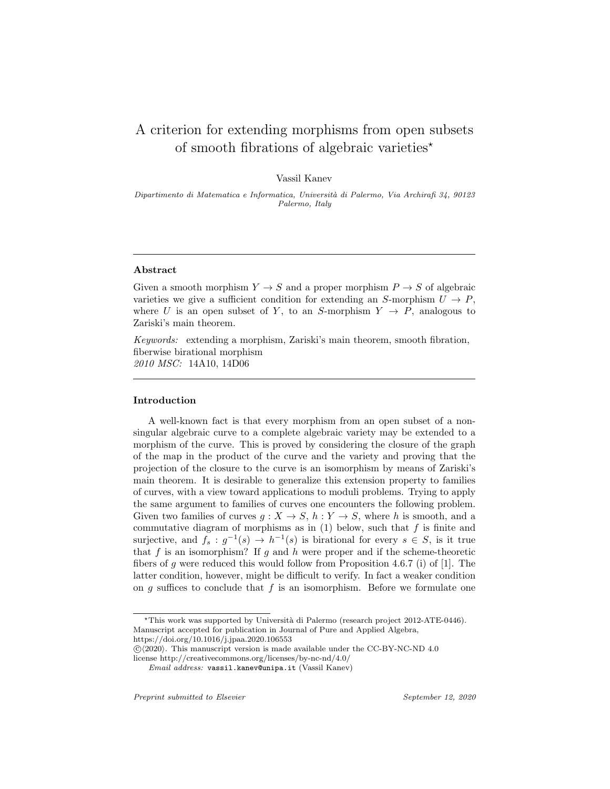# A criterion for extending morphisms from open subsets of smooth fibrations of algebraic varieties*<sup>⋆</sup>*

Vassil Kanev

*Dipartimento di Matematica e Informatica, Universit`a di Palermo, Via Archirafi 34, 90123 Palermo, Italy*

#### **Abstract**

Given a smooth morphism  $Y \to S$  and a proper morphism  $P \to S$  of algebraic varieties we give a sufficient condition for extending an *S*-morphism  $U \to P$ , where *U* is an open subset of *Y*, to an *S*-morphism  $Y \rightarrow P$ , analogous to Zariski's main theorem.

*Keywords:* extending a morphism, Zariski's main theorem, smooth fibration, fiberwise birational morphism *2010 MSC:* 14A10, 14D06

## **Introduction**

A well-known fact is that every morphism from an open subset of a nonsingular algebraic curve to a complete algebraic variety may be extended to a morphism of the curve. This is proved by considering the closure of the graph of the map in the product of the curve and the variety and proving that the projection of the closure to the curve is an isomorphism by means of Zariski's main theorem. It is desirable to generalize this extension property to families of curves, with a view toward applications to moduli problems. Trying to apply the same argument to families of curves one encounters the following problem. Given two families of curves  $g: X \to S$ ,  $h: Y \to S$ , where *h* is smooth, and a commutative diagram of morphisms as in (1) below, such that *f* is finite and surjective, and  $f_s: g^{-1}(s) \to h^{-1}(s)$  is birational for every  $s \in S$ , is it true that *f* is an isomorphism? If *g* and *h* were proper and if the scheme-theoretic fibers of *g* were reduced this would follow from Proposition 4.6.7 (i) of [1]. The latter condition, however, might be difficult to verify. In fact a weaker condition on *g* suffices to conclude that *f* is an isomorphism. Before we formulate one

<sup>&</sup>lt;sup>\*</sup>This work was supported by Università di Palermo (research project 2012-ATE-0446). Manuscript accepted for publication in Journal of Pure and Applied Algebra,

https://doi.org/10.1016/j.jpaa.2020.106553

 $\langle \hat{C} \rangle$ (2020). This manuscript version is made available under the CC-BY-NC-ND 4.0 license http://creativecommons.org/licenses/by-nc-nd/4.0/

*Email address:* vassil.kanev@unipa.it (Vassil Kanev)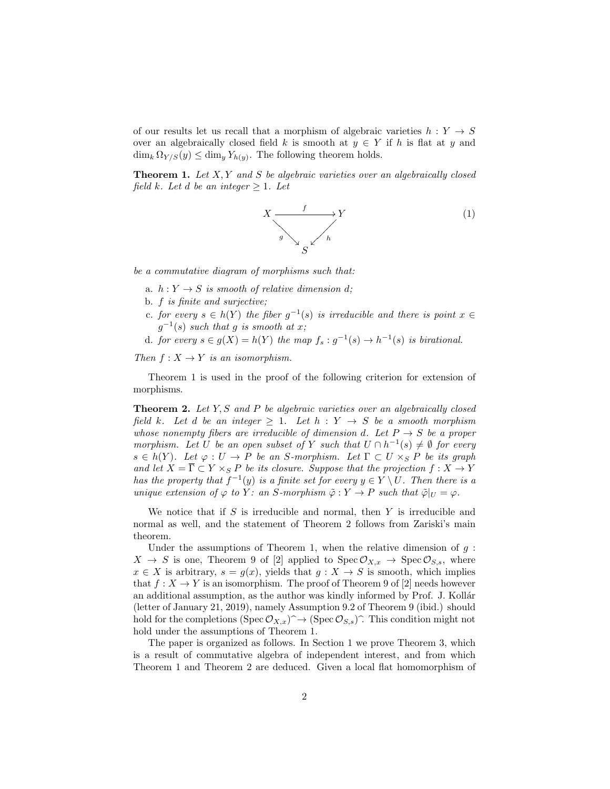of our results let us recall that a morphism of algebraic varieties  $h: Y \rightarrow S$ over an algebraically closed field *k* is smooth at  $y \in Y$  if *h* is flat at *y* and  $\dim_k \Omega_{Y/S}(y) \leq \dim_y Y_{h(y)}$ . The following theorem holds.

**Theorem 1.** *Let X, Y and S be algebraic varieties over an algebraically closed field k. Let d be an integer*  $\geq$  1*. Let* 

$$
X \xrightarrow{\qquad f} Y
$$
  
\n
$$
\downarrow^{\mathcal{S}} \downarrow^{\mathcal{N}}
$$
  
\n
$$
\downarrow^{\mathcal{S}} \downarrow^{\mathcal{N}}
$$
  
\n
$$
(1)
$$

*be a commutative diagram of morphisms such that:*

- a.  $h: Y \to S$  *is smooth of relative dimension d*;
- b. *f is finite and surjective;*
- *c. for every*  $s \in h(Y)$  *the fiber*  $g^{-1}(s)$  *is irreducible and there is point*  $x \in$  $g^{-1}(s)$  *such that g is smooth at x*;
- d. *for every*  $s \in g(X) = h(Y)$  *the map*  $f_s : g^{-1}(s) \to h^{-1}(s)$  *is birational.*

*Then*  $f: X \rightarrow Y$  *is an isomorphism.* 

Theorem 1 is used in the proof of the following criterion for extension of morphisms.

**Theorem 2.** *Let Y, S and P be algebraic varieties over an algebraically closed field k.* Let *d be an integer*  $\geq$  1*.* Let *h* :  $Y \rightarrow S$  *be a smooth morphism whose nonempty fibers are irreducible of dimension d.* Let  $P \rightarrow S$  be a proper *morphism.* Let *U* be an open subset of *Y* such that  $U \cap h^{-1}(s) \neq \emptyset$  for every  $s \in h(Y)$ *. Let*  $\varphi : U \to P$  *be an S-morphism. Let*  $\Gamma \subset U \times_S P$  *be its graph and let*  $X = \overline{\Gamma} \subset Y \times_S P$  *be its closure. Suppose that the projection*  $f: X \to Y$ *has the property that*  $f^{-1}(y)$  *is a finite set for every*  $y \in Y \setminus U$ *. Then there is a unique extension of*  $\varphi$  *to*  $Y$ *: an S-morphism*  $\tilde{\varphi}: Y \to P$  *such that*  $\tilde{\varphi}|_U = \varphi$ *.* 

We notice that if *S* is irreducible and normal, then *Y* is irreducible and normal as well, and the statement of Theorem 2 follows from Zariski's main theorem.

Under the assumptions of Theorem 1, when the relative dimension of  $g$ :  $X \to S$  is one, Theorem 9 of [2] applied to  $Spec \mathcal{O}_{X,x} \to Spec \mathcal{O}_{S,s}$ , where  $x \in X$  is arbitrary,  $s = g(x)$ , yields that  $g: X \to S$  is smooth, which implies that  $f: X \to Y$  is an isomorphism. The proof of Theorem 9 of [2] needs however an additional assumption, as the author was kindly informed by Prof. J. Kollár (letter of January 21, 2019), namely Assumption 9.2 of Theorem 9 (ibid.) should hold for the completions (Spec  $\mathcal{O}_{X,x}$ ) $\hat{\ }$  + (Spec  $\mathcal{O}_{S,s}$ ). This condition might not hold under the assumptions of Theorem 1.

The paper is organized as follows. In Section 1 we prove Theorem 3, which is a result of commutative algebra of independent interest, and from which Theorem 1 and Theorem 2 are deduced. Given a local flat homomorphism of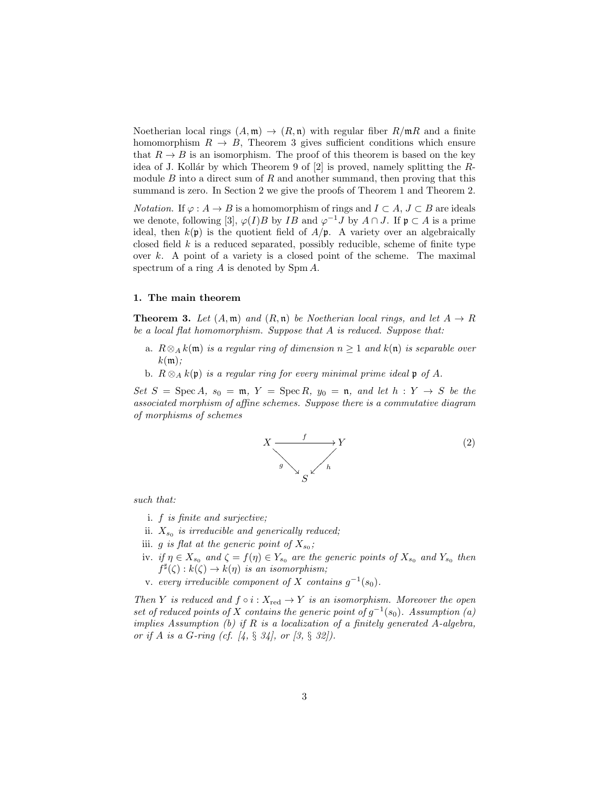Noetherian local rings  $(A, \mathfrak{m}) \rightarrow (R, \mathfrak{n})$  with regular fiber  $R/\mathfrak{m}R$  and a finite homomorphism  $R \to B$ , Theorem 3 gives sufficient conditions which ensure that  $R \to B$  is an isomorphism. The proof of this theorem is based on the key idea of J. Kollár by which Theorem 9 of [2] is proved, namely splitting the *R*module *B* into a direct sum of *R* and another summand, then proving that this summand is zero. In Section 2 we give the proofs of Theorem 1 and Theorem 2.

*Notation.* If  $\varphi : A \to B$  is a homomorphism of rings and  $I \subset A, J \subset B$  are ideals we denote, following [3],  $\varphi(I)B$  by *IB* and  $\varphi^{-1}J$  by  $A \cap J$ . If  $\mathfrak{p} \subset A$  is a prime ideal, then  $k(\mathfrak{p})$  is the quotient field of  $A/\mathfrak{p}$ . A variety over an algebraically closed field *k* is a reduced separated, possibly reducible, scheme of finite type over *k*. A point of a variety is a closed point of the scheme. The maximal spectrum of a ring *A* is denoted by Spm *A*.

#### **1. The main theorem**

**Theorem 3.** Let  $(A, \mathfrak{m})$  and  $(R, \mathfrak{n})$  be Noetherian local rings, and let  $A \rightarrow R$ *be a local flat homomorphism. Suppose that A is reduced. Suppose that:*

- a. *R⊗<sup>A</sup> k*(m) *is a regular ring of dimension n ≥* 1 *and k*(n) *is separable over k*(m)*;*
- **b.**  $R \otimes_A k(\mathfrak{p})$  *is a regular ring for every minimal prime ideal* **p** *of A.*

 $Set\ S = \text{Spec}\ A, \ s_0 = \mathfrak{m}, \ Y = \text{Spec}\ R, \ y_0 = \mathfrak{n}, \ and \ let \ h: Y \to S \ be \ the$ *associated morphism of affine schemes. Suppose there is a commutative diagram of morphisms of schemes*



*such that:*

- i. *f is finite and surjective;*
- ii. *Xs*<sup>0</sup> *is irreducible and generically reduced;*
- iii. *g is flat at the generic point of*  $X_{s_0}$ ;
- iv. *if*  $\eta \in X_{s_0}$  and  $\zeta = f(\eta) \in Y_{s_0}$  are the generic points of  $X_{s_0}$  and  $Y_{s_0}$  then  $f^{\sharp}(\zeta): k(\zeta) \to k(\eta)$  *is an isomorphism*;
- v. *every irreducible component of*  $X$  *contains*  $g^{-1}(s_0)$ *.*

*Then Y is reduced and*  $f \circ i : X_{\text{red}} \to Y$  *is an isomorphism. Moreover the open set of reduced points of X contains the generic point of*  $g^{-1}(s_0)$ *. Assumption* (*a*) *implies Assumption (b) if R is a localization of a finitely generated A-algebra, or if A is a G-ring (cf. [4, § 34], or [3, § 32]).*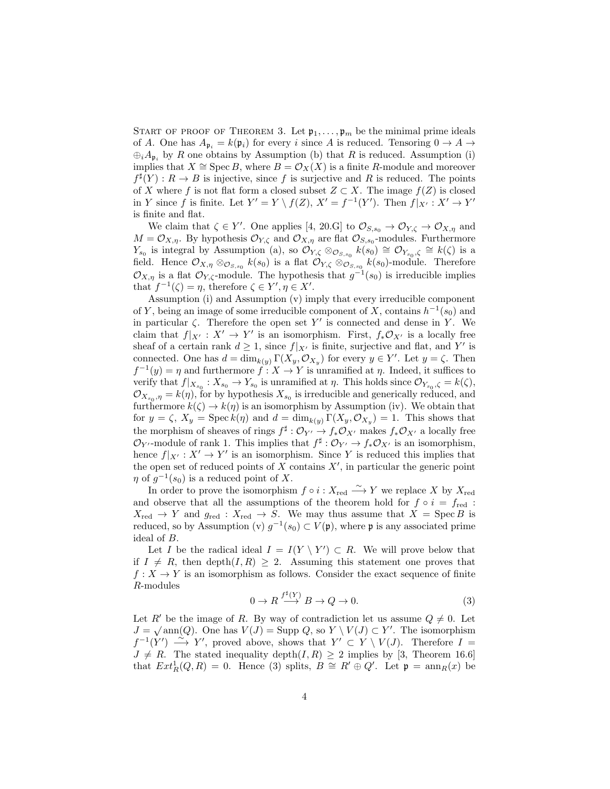START OF PROOF OF THEOREM 3. Let  $\mathfrak{p}_1, \ldots, \mathfrak{p}_m$  be the minimal prime ideals of *A*. One has  $A_{p_i} = k(p_i)$  for every *i* since *A* is reduced. Tensoring  $0 \to A \to$ *⊕iA*p*<sup>i</sup>* by *R* one obtains by Assumption (b) that *R* is reduced. Assumption (i) implies that *X*  $\cong$  Spec *B*, where *B* =  $\mathcal{O}_X(X)$  is a finite *R*-module and moreover  $f^{\sharp}(Y) : R \to B$  is injective, since f is surjective and R is reduced. The points of *X* where *f* is not flat form a closed subset  $Z \subset X$ . The image  $f(Z)$  is closed in Y since f is finite. Let  $Y' = Y \setminus f(Z)$ ,  $X' = f^{-1}(Y')$ . Then  $f|_{X'} : X' \to Y'$ is finite and flat.

We claim that  $\zeta \in Y'$ . One applies [4, 20.G] to  $\mathcal{O}_{S,s_0} \to \mathcal{O}_{Y,\zeta} \to \mathcal{O}_{X,\eta}$  and  $M = \mathcal{O}_{X,\eta}$ . By hypothesis  $\mathcal{O}_{Y,\zeta}$  and  $\mathcal{O}_{X,\eta}$  are flat  $\mathcal{O}_{S,s_0}$ -modules. Furthermore *Y*<sub>*s*0</sub></sub> is integral by Assumption (a), so  $\mathcal{O}_{Y,\zeta} \otimes_{\mathcal{O}_{S,s_0}} k(s_0) \cong \mathcal{O}_{Y_{s_0},\zeta} \cong k(\zeta)$  is a field. Hence  $\mathcal{O}_{X,\eta} \otimes_{\mathcal{O}_{S,s_0}} k(s_0)$  is a flat  $\mathcal{O}_{Y,\zeta} \otimes_{\mathcal{O}_{S,s_0}} k(s_0)$ -module. Therefore  $\mathcal{O}_{X,\eta}$  is a flat  $\mathcal{O}_{Y,\zeta}$ -module. The hypothesis that  $g^{-1}(s_0)$  is irreducible implies that  $f^{-1}(\zeta) = \eta$ , therefore  $\zeta \in Y', \eta \in X'$ .

Assumption (i) and Assumption (v) imply that every irreducible component of *Y*, being an image of some irreducible component of *X*, contains  $h^{-1}(s_0)$  and in particular  $\zeta$ . Therefore the open set Y' is connected and dense in Y. We claim that  $f|_{X'} : X' \to Y'$  is an isomorphism. First,  $f_* \mathcal{O}_{X'}$  is a locally free sheaf of a certain rank  $d \geq 1$ , since  $f|_{X'}$  is finite, surjective and flat, and Y' is connected. One has  $d = \dim_{k(y)} \Gamma(X_y, \mathcal{O}_{X_y})$  for every  $y \in Y'$ . Let  $y = \zeta$ . Then  $f^{-1}(y) = \eta$  and furthermore  $f: X \to Y$  is unramified at  $\eta$ . Indeed, it suffices to verify that  $f|_{X_{s_0}} : X_{s_0} \to Y_{s_0}$  is unramified at  $\eta$ . This holds since  $\mathcal{O}_{Y_{s_0}, \zeta} = k(\zeta)$ ,  $\mathcal{O}_{X_{s_0}, \eta} = k(\eta)$ , for by hypothesis  $X_{s_0}$  is irreducible and generically reduced, and furthermore  $k(\zeta) \to k(\eta)$  is an isomorphism by Assumption (iv). We obtain that for  $y = \zeta$ ,  $X_y = \text{Spec } k(\eta)$  and  $d = \dim_{k(y)} \Gamma(X_y, \mathcal{O}_{X_y}) = 1$ . This shows that the morphism of sheaves of rings  $f^{\sharp}: \mathcal{O}_{Y'} \to f_* \mathcal{O}_{X'}$  makes  $f_* \mathcal{O}_{X'}$  a locally free  $\mathcal{O}_Y$  –module of rank 1. This implies that  $f^{\sharp}: \mathcal{O}_{Y'} \to f_* \mathcal{O}_{X'}$  is an isomorphism, hence  $f|_{X'}: X' \to Y'$  is an isomorphism. Since Y is reduced this implies that the open set of reduced points of *X* contains *X′* , in particular the generic point  $\eta$  of  $g^{-1}(s_0)$  is a reduced point of *X*.

In order to prove the isomorphism  $f \circ i : X_{\text{red}} \longrightarrow Y$  we replace X by  $X_{\text{red}}$ and observe that all the assumptions of the theorem hold for  $f \circ i = f_{\text{red}}$ :  $X_{\text{red}} \rightarrow Y$  and  $g_{\text{red}} : X_{\text{red}} \rightarrow S$ . We may thus assume that  $X = \text{Spec } B$  is reduced, so by Assumption (v)  $g^{-1}(s_0) \subset V(\mathfrak{p})$ , where  $\mathfrak{p}$  is any associated prime ideal of *B*.

Let *I* be the radical ideal  $I = I(Y \setminus Y') \subset R$ . We will prove below that if  $I \neq R$ , then depth $(I, R) \geq 2$ . Assuming this statement one proves that  $f: X \to Y$  is an isomorphism as follows. Consider the exact sequence of finite *R*-modules

$$
0 \to R \stackrel{f^{\sharp}(Y)}{\longrightarrow} B \to Q \to 0. \tag{3}
$$

Let *R'* be the image of *R*. By way of contradiction let us assume  $Q \neq 0$ . Let  $J = \sqrt{\text{ann}(Q)}$ . One has  $V(J) = \text{Supp } Q$ , so  $Y \setminus V(J) \subset Y'$ . The isomorphism  $f^{-1}(Y') \longrightarrow Y'$ , proved above, shows that  $Y' \subset Y \setminus V(J)$ . Therefore  $I =$  $J \neq R$ . The stated inequality depth $(I, R) \geq 2$  implies by [3, Theorem 16.6] that  $Ext^1_R(Q, R) = 0$ . Hence (3) splits,  $B \cong R' \oplus Q'$ . Let  $\mathfrak{p} = \text{ann}_R(x)$  be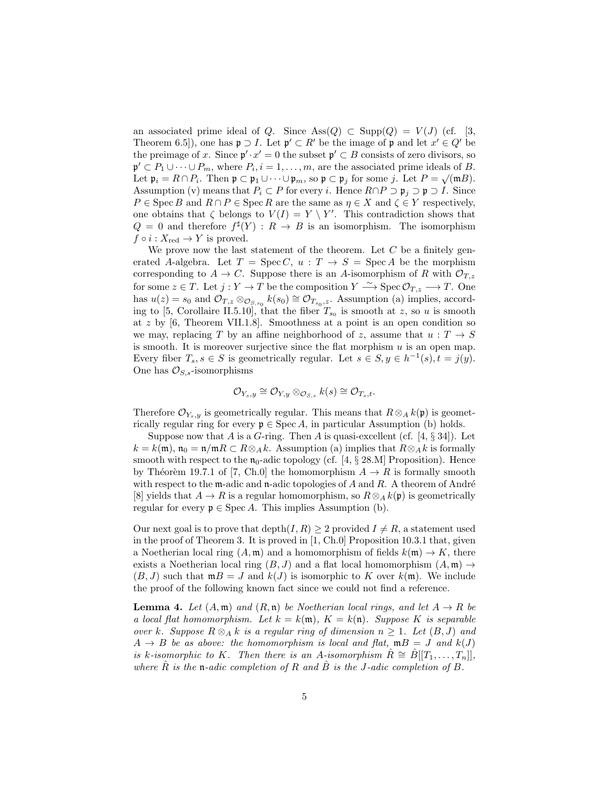an associated prime ideal of *Q*. Since  $\text{Ass}(Q) \subset \text{Supp}(Q) = V(J)$  (cf. [3, Theorem 6.5]), one has  $\mathfrak{p} \supset I$ . Let  $\mathfrak{p}' \subset R'$  be the image of  $\mathfrak{p}$  and let  $x' \in Q'$  be the preimage of *x*. Since  $\mathfrak{p}' \cdot x' = 0$  the subset  $\mathfrak{p}' \subset B$  consists of zero divisors, so  $\mathfrak{p}' \subset P_1 \cup \cdots \cup P_m$ , where  $P_i, i = 1, \ldots, m$ , are the associated prime ideals of *B*. Let  $\mathfrak{p}_i = R \cap P_i$ . Then  $\mathfrak{p} \subset \mathfrak{p}_1 \cup \cdots \cup \mathfrak{p}_m$ , so  $\mathfrak{p} \subset \mathfrak{p}_j$  for some *j*. Let  $P = \sqrt{mB}$ . Assumption (v) means that  $P_i \subset P$  for every *i*. Hence  $R \cap P \supset \mathfrak{p}_i \supset \mathfrak{p} \supset I$ . Since  $P \in \text{Spec } B$  and  $R \cap P \in \text{Spec } R$  are the same as  $\eta \in X$  and  $\zeta \in Y$  respectively, one obtains that  $\zeta$  belongs to  $V(I) = Y \setminus Y'$ . This contradiction shows that  $Q = 0$  and therefore  $f^{\sharp}(Y) : R \to B$  is an isomorphism. The isomorphism  $f \circ i : X_{\text{red}} \to Y$  is proved.

We prove now the last statement of the theorem. Let *C* be a finitely generated *A*-algebra. Let  $T = \text{Spec } C, u : T \to S = \text{Spec } A$  be the morphism corresponding to  $A \to C$ . Suppose there is an *A*-isomorphism of *R* with  $\mathcal{O}_{T,z}$ for some  $z \in T$ . Let  $j: Y \to T$  be the composition  $Y \xrightarrow{\sim} \text{Spec } \mathcal{O}_{T,z} \longrightarrow T$ . One has  $u(z) = s_0$  and  $\mathcal{O}_{T,z} \otimes_{\mathcal{O}_{S,s_0}} k(s_0) \cong \mathcal{O}_{T_{s_0},z}$ . Assumption (a) implies, according to [5, Corollaire II.5.10], that the fiber  $T_{s_0}$  is smooth at *z*, so *u* is smooth at *z* by [6, Theorem VII.1.8]. Smoothness at a point is an open condition so we may, replacing *T* by an affine neighborhood of *z*, assume that  $u : T \to S$ is smooth. It is moreover surjective since the flat morphism *u* is an open map. Every fiber  $T_s$ ,  $s \in S$  is geometrically regular. Let  $s \in S$ ,  $y \in h^{-1}(s)$ ,  $t = j(y)$ . One has  $\mathcal{O}_{S,s}$ -isomorphisms

$$
\mathcal{O}_{Y_s,y}\cong \mathcal{O}_{Y,y}\otimes_{\mathcal{O}_{S,s}}k(s)\cong \mathcal{O}_{T_s,t}.
$$

Therefore  $\mathcal{O}_{Y_s,y}$  is geometrically regular. This means that  $R \otimes_A k(\mathfrak{p})$  is geometrically regular ring for every  $\mathfrak{p} \in \text{Spec } A$ , in particular Assumption (b) holds.

Suppose now that *A* is a *G*-ring. Then *A* is quasi-excellent (cf. [4, *§* 34]). Let  $k = k(\mathfrak{m})$ ,  $\mathfrak{n}_0 = \mathfrak{n}/\mathfrak{m}R \subset R \otimes_A k$ . Assumption (a) implies that  $R \otimes_A k$  is formally smooth with respect to the  $\mathfrak{n}_0$ -adic topology (cf. [4,  $\S$  28.M] Proposition). Hence by Théorèm 19.7.1 of [7, Ch.0] the homomorphism  $A \to R$  is formally smooth with respect to the  $m$ -adic and  $n$ -adic topologies of A and R. A theorem of André [8] yields that  $A \to R$  is a regular homomorphism, so  $R \otimes_A k(\mathfrak{p})$  is geometrically regular for every  $\mathfrak{p} \in \text{Spec } A$ . This implies Assumption (b).

Our next goal is to prove that depth $(I, R) \geq 2$  provided  $I \neq R$ , a statement used in the proof of Theorem 3. It is proved in [1, Ch.0] Proposition 10.3.1 that, given a Noetherian local ring  $(A, \mathfrak{m})$  and a homomorphism of fields  $k(\mathfrak{m}) \to K$ , there exists a Noetherian local ring  $(B, J)$  and a flat local homomorphism  $(A, \mathfrak{m}) \rightarrow$  $(B, J)$  such that  $mB = J$  and  $k(J)$  is isomorphic to K over  $k(m)$ . We include the proof of the following known fact since we could not find a reference.

**Lemma 4.** *Let*  $(A, \mathfrak{m})$  *and*  $(R, \mathfrak{n})$  *be Noetherian local rings, and let*  $A \rightarrow R$  *be a local flat homomorphism. Let*  $k = k(\mathfrak{m})$ ,  $K = k(\mathfrak{n})$ *. Suppose K is separable over k.* Suppose  $R \otimes_A k$  *is a regular ring of dimension*  $n ≥ 1$ *. Let*  $(B, J)$  *and*  $A \rightarrow B$  *be as above: the homomorphism is local and flat,*  $mB = J$  *and*  $k(J)$ *is k*-isomorphic to *K.* Then there is an *A*-isomorphism  $R \cong B[[T_1, \ldots, T_n]]$ , where  $\hat{R}$  *is the*  $\mathfrak{n}$ *-adic completion of*  $R$  *and*  $\hat{B}$  *is the J-adic completion of*  $B$ *.*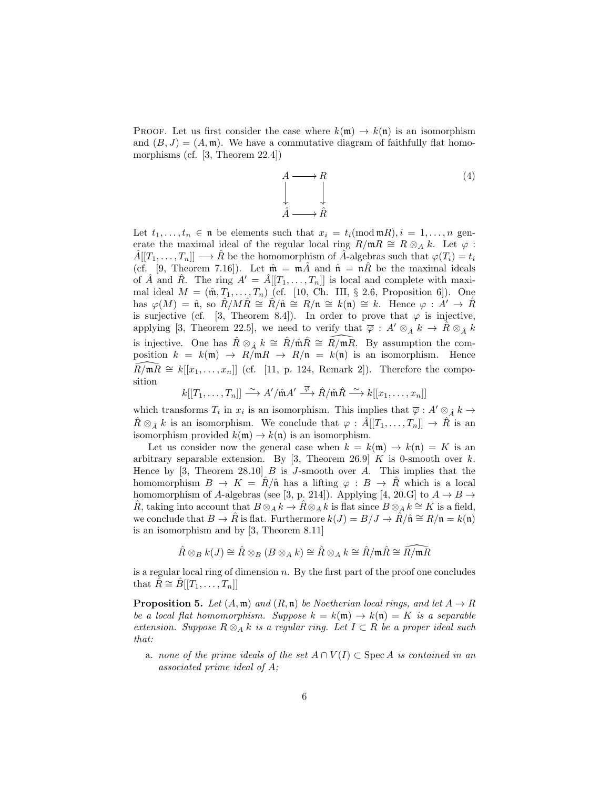PROOF. Let us first consider the case where  $k(\mathfrak{m}) \to k(\mathfrak{n})$  is an isomorphism and  $(B, J) = (A, \mathfrak{m})$ . We have a commutative diagram of faithfully flat homomorphisms (cf. [3, Theorem 22.4])

$$
A \longrightarrow R
$$
  
\n
$$
\downarrow
$$
  
\n
$$
\hat{A} \longrightarrow \hat{R}
$$
  
\n(4)

Let  $t_1, \ldots, t_n \in \mathfrak{n}$  be elements such that  $x_i = t_i \pmod{\mathfrak{m}}{R}, i = 1, \ldots, n$  generate the maximal ideal of the regular local ring  $R/\mathfrak{m}R \cong R \otimes_A k$ . Let  $\varphi$ :  $\hat{A}[[T_1,\ldots,T_n]] \longrightarrow \hat{R}$  be the homomorphism of  $\hat{A}$ -algebras such that  $\varphi(T_i) = t_i$ (cf. [9, Theorem 7.16]). Let  $\hat{\mathfrak{m}} = \mathfrak{m}\hat{A}$  and  $\hat{\mathfrak{n}} = \mathfrak{n}\hat{R}$  be the maximal ideals of  $\hat{A}$  and  $\hat{R}$ . The ring  $A' = \hat{A}[[T_1, \ldots, T_n]]$  is local and complete with maximal ideal  $M = (\hat{\mathfrak{m}}, T_1, \ldots, T_n)$  (cf. [10, Ch. III, § 2.6, Proposition 6]). One has  $\varphi(M) = \hat{\mathfrak{n}}$ , so  $\hat{R}/M\hat{R} \cong \hat{R}/\hat{\mathfrak{n}} \cong R/\mathfrak{n} \cong k(\mathfrak{n}) \cong k$ . Hence  $\varphi : \hat{A}' \to \hat{R}$ is surjective (cf. [3, Theorem 8.4]). In order to prove that  $\varphi$  is injective, applying [3, Theorem 22.5], we need to verify that  $\overline{\varphi}$  :  $A' \otimes_{\hat{A}} k \to R \otimes_{\hat{A}} k$ is injective. One has  $\hat{R} \otimes_{\hat{A}} k \cong \hat{R}/\hat{\mathfrak{m}}\hat{R} \cong \hat{R}/\hat{\mathfrak{m}}\hat{R}$ . By assumption the composition  $k = k(\mathfrak{m}) \rightarrow R/\mathfrak{m}R \rightarrow R/\mathfrak{n} = k(\mathfrak{n})$  is an isomorphism. Hence  $R/\mathfrak{m}R \cong k[[x_1,\ldots,x_n]]$  (cf. [11, p. 124, Remark 2]). Therefore the composition

$$
k[[T_1,\ldots,T_n]]\stackrel{\sim}{\longrightarrow} A'/\hat{\mathfrak{m}}A'\stackrel{\overline{\varphi}}{\longrightarrow} \hat{R}/\hat{\mathfrak{m}}\hat{R}\stackrel{\sim}{\longrightarrow} k[[x_1,\ldots,x_n]]
$$

which transforms  $T_i$  in  $x_i$  is an isomorphism. This implies that  $\overline{\varphi}: A' \otimes_A^2 k \to$  $R \otimes_{\hat{A}} k$  is an isomorphism. We conclude that  $\varphi : A[[T_1, \ldots, T_n]] \to R$  is an isomorphism provided  $k(\mathfrak{m}) \to k(\mathfrak{n})$  is an isomorphism.

Let us consider now the general case when  $k = k(\mathfrak{m}) \rightarrow k(\mathfrak{n}) = K$  is an arbitrary separable extension. By [3, Theorem 26.9] *K* is 0-smooth over *k*. Hence by [3, Theorem 28.10] *B* is *J*-smooth over *A*. This implies that the homomorphism  $B \to K = \hat{R}/\hat{n}$  has a lifting  $\varphi : B \to \hat{R}$  which is a local homomorphism of *A*-algebras (see [3, p. 214]). Applying [4, 20.G] to  $A \rightarrow B \rightarrow$  $\hat{R}$ , taking into account that  $B \otimes_A k \to \hat{R} \otimes_A k$  is flat since  $B \otimes_A k \cong K$  is a field, we conclude that  $B \to \hat{R}$  is flat. Furthermore  $k(J) = B/J \to \hat{R}/\hat{\mathfrak{n}} \cong R/\mathfrak{n} = k(\mathfrak{n})$ is an isomorphism and by [3, Theorem 8.11]

$$
\hat{R}\otimes_B k(J)\cong \hat{R}\otimes_B(B\otimes_A k)\cong \hat{R}\otimes_A k\cong \hat{R}/\mathfrak{m}\hat{R}\cong \widehat{R}/\mathfrak{m}\widehat{R}
$$

is a regular local ring of dimension *n*. By the first part of the proof one concludes that  $\hat{R} \cong \hat{B}[[T_1,\ldots,T_n]]$ 

**Proposition 5.** *Let*  $(A, \mathfrak{m})$  *and*  $(R, \mathfrak{n})$  *be Noetherian local rings, and let*  $A \rightarrow R$ *be a local flat homomorphism. Suppose*  $k = k(\mathfrak{m}) \rightarrow k(\mathfrak{n}) = K$  *is a separable extension. Suppose R ⊗<sup>A</sup> k is a regular ring. Let I ⊂ R be a proper ideal such that:*

a. *none of the prime ideals of the set*  $A \cap V(I) \subset \text{Spec } A$  *is contained in an associated prime ideal of A;*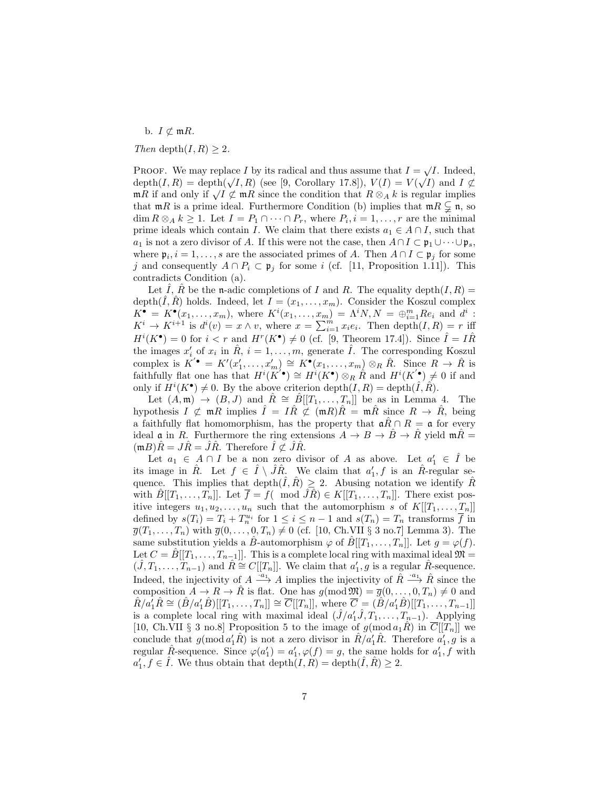b.  $I \not\subset mR$ *.* 

*Then* depth $(I, R) \geq 2$ *.* 

PROOF. We may replace *I* by its radical and thus assume that  $I = \sqrt{I}$ . Indeed, depth $(I, R) = \text{depth}(\sqrt{I}, R)$  (see [9, Corollary 17.8]),  $V(I) = V(\sqrt{I})$  and  $I \not\subset$  $\mathfrak{m}_R$  if and only if  $\sqrt{I} \not\subset \mathfrak{m}_R$  since the condition that  $R \otimes_A k$  is regular implies that  $mR$  is a prime ideal. Furthermore Condition (b) implies that  $mR \subsetneq n$ , so  $\dim R \otimes_A k \geq 1$ . Let  $I = P_1 \cap \cdots \cap P_r$ , where  $P_i, i = 1, \ldots, r$  are the minimal prime ideals which contain *I*. We claim that there exists  $a_1 \in A \cap I$ , such that *a*<sub>1</sub> is not a zero divisor of *A*. If this were not the case, then  $A \cap I \subset \mathfrak{p}_1 \cup \cdots \cup \mathfrak{p}_s$ , where  $\mathfrak{p}_i, i = 1, \ldots, s$  are the associated primes of *A*. Then  $A \cap I \subset \mathfrak{p}_j$  for some *j* and consequently  $A \cap P_i \subset \mathfrak{p}_j$  for some *i* (cf. [11, Proposition 1.11]). This contradicts Condition (a).

Let  $\hat{I}$ ,  $\hat{R}$  be the n-adic completions of  $I$  and  $R$ . The equality depth $(I, R)$  = depth $(\tilde{I}, \tilde{R})$  holds. Indeed, let  $I = (x_1, \ldots, x_m)$ . Consider the Koszul complex  $K^{\bullet} = K^{\bullet}(x_1, \ldots, x_m)$ , where  $K^i(x_1, \ldots, x_m) = \Lambda^i N, N = \bigoplus_{i=1}^m Re_i$  and  $d^i$ :  $K^i \to K^{i+1}$  is  $d^i(v) = x \wedge v$ , where  $x = \sum_{i=1}^m x_i e_i$ . Then depth $(I, R) = r$  iff  $H^{i}(K^{\bullet}) = 0$  for  $i < r$  and  $H^{r}(K^{\bullet}) \neq 0$  (cf. [9, Theorem 17.4]). Since  $\hat{I} = I\hat{R}$ the images  $x'_{i}$  of  $x_{i}$  in  $\hat{R}$ ,  $i = 1, ..., m$ , generate  $\hat{I}$ . The corresponding Koszul complex is  $K' \bullet = K'(x'_1, \ldots, x'_m) \cong K^{\bullet}(x_1, \ldots, x_m) \otimes_R \hat{R}$ . Since  $R \to \hat{R}$  is faithfully flat one has that  $H^i(K^{'\bullet}) \cong H^i(K^{\bullet}) \otimes_R \hat{R}$  and  $H^i(K^{'\bullet}) \neq 0$  if and only if  $H^i(K^{\bullet}) \neq 0$ . By the above criterion depth $(I, R) = \text{depth}(\hat{I}, \hat{R})$ .

Let  $(A, \mathfrak{m}) \rightarrow (B, J)$  and  $\hat{R} \cong \hat{B}[[T_1, \ldots, T_n]]$  be as in Lemma 4. The hypothesis  $I \not\subset \mathfrak{m}R$  implies  $\hat{I} = I\hat{R} \not\subset (\mathfrak{m}R)\hat{R} = \mathfrak{m}\hat{R}$  since  $R \to \hat{R}$ , being a faithfully flat homomorphism, has the property that  $\mathfrak{a}R \cap R = \mathfrak{a}$  for every ideal  $\mathfrak{a}$  in *R*. Furthermore the ring extensions  $A \to B \to \hat{B} \to \hat{R}$  yield  $\mathfrak{m}\hat{R} =$  $(mB)R = JR = JR$ . Therefore  $\overline{I} \not\subset \overline{JR}$ .

Let  $a_1 \in A \cap I$  be a non zero divisor of *A* as above. Let  $a'_1 \in \hat{I}$  be its image in  $\hat{R}$ . Let  $f \in \hat{I} \setminus \hat{J}\hat{R}$ . We claim that  $a'_1, f$  is an  $\hat{R}$ -regular sequence. This implies that depth $(\hat{I}, \hat{R}) \geq 2$ . Abusing notation we identify  $\hat{R}$ with  $B[[T_1, \ldots, T_n]]$ . Let  $\overline{f} = f(\mod \widehat{J}R) \in K[[T_1, \ldots, T_n]]$ . There exist positive integers  $u_1, u_2, \ldots, u_n$  such that the automorphism *s* of  $K[[T_1, \ldots, T_n]]$ defined by  $s(T_i) = T_i + T_n^{u_i}$  for  $1 \leq i \leq n-1$  and  $s(T_n) = T_n$  transforms  $\overline{f}$  in  $\overline{g}(T_1,\ldots,T_n)$  with  $\overline{g}(0,\ldots,0,T_n) \neq 0$  (cf. [10, Ch.VII § 3 no.7] Lemma 3). The same substitution yields a *B*-automorphism  $\varphi$  of  $B[[T_1, \ldots, T_n]]$ . Let  $g = \varphi(f)$ . Let  $C = B[[T_1, \ldots, T_{n-1}]]$ . This is a complete local ring with maximal ideal  $\mathfrak{M} =$  $(\hat{J}, T_1, \ldots, T_{n-1})$  and  $\hat{R} \cong C[[T_n]]$ . We claim that  $a'_1, g$  is a regular  $\hat{R}$ -sequence. Indeed, the injectivity of  $A \stackrel{\cdot a_1}{\longrightarrow} A$  implies the injectivity of  $\hat{R} \stackrel{\cdot a_1}{\longrightarrow} \hat{R}$  since the composition  $A \to R \to \hat{R}$  is flat. One has  $g(\text{mod } \mathfrak{M}) = \overline{g}(0, \ldots, 0, T_n) \neq 0$  and  $\hat{R}/a_1'\hat{R} \cong (\hat{B}/a_1'\hat{B})[[T_1,\ldots,T_n]] \cong \overline{C}[[T_n]],$  where  $\overline{C} = (\hat{B}/a_1'\hat{B})[[T_1,\ldots,T_{n-1}]]$ is a complete local ring with maximal ideal  $(\hat{J}/a'_1\hat{J}, T_1, \ldots, T_{n-1})$ . Applying [10, Ch.VII § 3 no.8] Proposition 5 to the image of  $g(\text{mod }a_1R)$  in  $\overline{C}[[T_n]]$  we conclude that  $g(\text{mod }a'_1\hat{R})$  is not a zero divisor in  $\hat{R}/a'_1\hat{R}$ . Therefore  $a'_1, g$  is a regular  $\hat{R}$ -sequence. Since  $\varphi(a'_1) = a'_1, \varphi(f) = g$ , the same holds for  $a'_1, f$  with  $a'_1, f \in \hat{I}$ . We thus obtain that depth $(I, R) =$  depth $(\hat{I}, \hat{R}) \geq 2$ .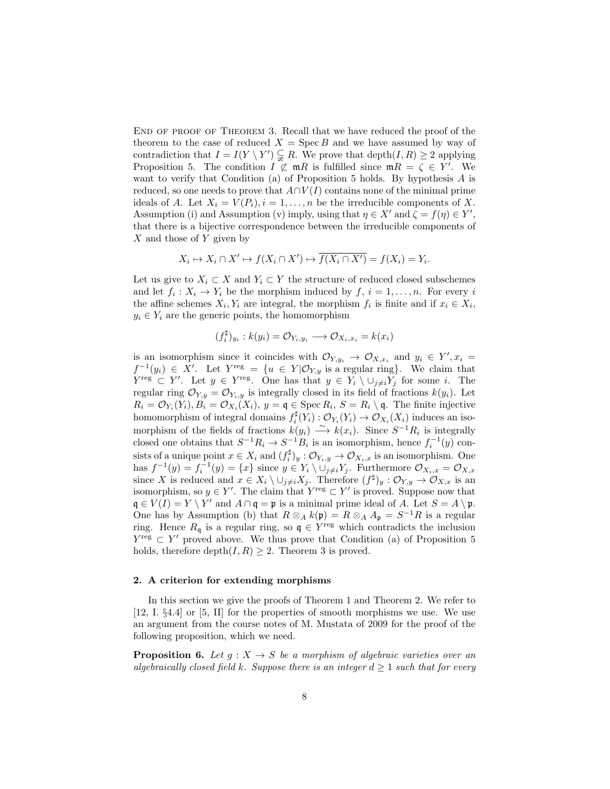END OF PROOF OF THEOREM 3. Recall that we have reduced the proof of the theorem to the case of reduced  $X = \text{Spec } B$  and we have assumed by way of contradiction that  $I = I(Y \setminus Y') \subsetneq R$ . We prove that depth $(I, R) \geq 2$  applying Proposition 5. The condition  $I \not\subset \mathfrak{m}R$  is fulfilled since  $\mathfrak{m}R = \zeta \in Y'$ . We want to verify that Condition (a) of Proposition 5 holds. By hypothesis *A* is reduced, so one needs to prove that  $A \cap V(I)$  contains none of the minimal prime ideals of *A*. Let  $X_i = V(P_i)$ ,  $i = 1, ..., n$  be the irreducible components of *X*. Assumption (i) and Assumption (v) imply, using that  $\eta \in X'$  and  $\zeta = f(\eta) \in Y'$ , that there is a bijective correspondence between the irreducible components of *X* and those of *Y* given by

$$
X_i \mapsto X_i \cap X' \mapsto f(X_i \cap X') \mapsto \overline{f(X_i \cap X')} = f(X_i) = Y_i.
$$

Let us give to  $X_i \subset X$  and  $Y_i \subset Y$  the structure of reduced closed subschemes and let  $f_i: X_i \to Y_i$  be the morphism induced by  $f, i = 1, \ldots, n$ . For every *i* the affine schemes  $X_i, Y_i$  are integral, the morphism  $f_i$  is finite and if  $x_i \in X_i$ ,  $y_i \in Y_i$  are the generic points, the homomorphism

$$
(f_i^{\sharp})_{y_i}: k(y_i) = \mathcal{O}_{Y_i, y_i} \longrightarrow \mathcal{O}_{X_i, x_i} = k(x_i)
$$

is an isomorphism since it coincides with  $\mathcal{O}_{Y,y_i} \to \mathcal{O}_{X,x_i}$  and  $y_i \in Y', x_i =$  $f^{-1}(y_i) \in X'$ . Let  $Y^{\text{reg}} = \{u \in Y | \mathcal{O}_{Y,y} \text{ is a regular ring}\}.$  We claim that *Y*<sup>reg</sup>  $\subset$  *Y'*. Let  $y \in Y$ <sup>reg</sup>. One has that  $y \in Y_i \setminus \cup_{j \neq i} Y_j$  for some *i*. The regular ring  $\mathcal{O}_{Y,y} = \mathcal{O}_{Y_i,y}$  is integrally closed in its field of fractions  $k(y_i)$ . Let  $R_i = \mathcal{O}_{Y_i}(Y_i), B_i = \mathcal{O}_{X_i}(X_i), y = \mathfrak{q} \in \text{Spec } R_i, S = R_i \setminus \mathfrak{q}.$  The finite injective homomorphism of integral domains  $f_i^{\sharp}(Y_i): \mathcal{O}_{Y_i}(Y_i) \to \mathcal{O}_{X_i}(X_i)$  induces an isomorphism of the fields of fractions  $k(y_i) \longrightarrow k(x_i)$ . Since  $S^{-1}R_i$  is integrally closed one obtains that  $S^{-1}R_i \to S^{-1}B_i$  is an isomorphism, hence  $f_i^{-1}(y)$  consists of a unique point  $x \in X_i$  and  $(f_i^{\sharp})_y : \mathcal{O}_{Y_i,y} \to \mathcal{O}_{X_i,x}$  is an isomorphism. One has  $f^{-1}(y) = f_i^{-1}(y) = \{x\}$  since  $y \in Y_i \setminus \bigcup_{j \neq i} Y_j$ . Furthermore  $\mathcal{O}_{X_i,x} = \mathcal{O}_{X,x}$ since *X* is reduced and  $x \in X_i \setminus \cup_{j \neq i} X_j$ . Therefore  $(f^{\sharp})_y : \mathcal{O}_{Y,y} \to \mathcal{O}_{X,x}$  is an isomorphism, so  $y \in Y'$ . The claim that  $Y^{\text{reg}} \subset Y'$  is proved. Suppose now that  $\mathfrak{q} \in V(I) = Y \setminus Y'$  and  $A \cap \mathfrak{q} = \mathfrak{p}$  is a minimal prime ideal of *A*. Let  $S = A \setminus \mathfrak{p}$ . One has by Assumption (b) that  $R \otimes_A k(\mathfrak{p}) = R \otimes_A A_{\mathfrak{p}} = S^{-1}R$  is a regular ring. Hence  $R_{\mathfrak{q}}$  is a regular ring, so  $\mathfrak{q} \in Y^{\text{reg}}$  which contradicts the inclusion *Y*<sup>reg</sup> ⊂ *Y*<sup>'</sup> proved above. We thus prove that Condition (a) of Proposition 5 holds, therefore depth $(I, R) \geq 2$ . Theorem 3 is proved.

### **2. A criterion for extending morphisms**

In this section we give the proofs of Theorem 1 and Theorem 2. We refer to [12, I. §4.4] or [5, II] for the properties of smooth morphisms we use. We use an argument from the course notes of M. Mustata of 2009 for the proof of the following proposition, which we need.

**Proposition 6.** Let  $q: X \rightarrow S$  be a morphism of algebraic varieties over an *algebraically closed field*  $k$ *. Suppose there is an integer*  $d \geq 1$  *such that for every*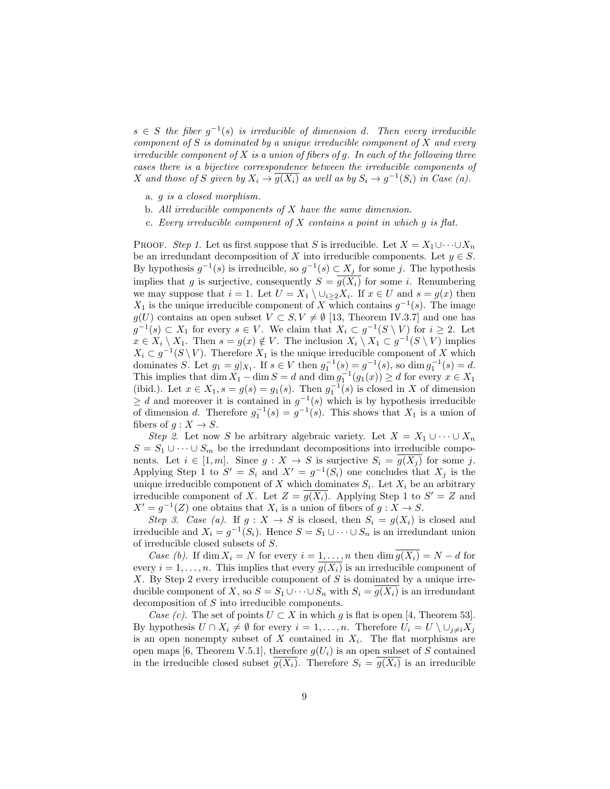$s \in S$  *the fiber*  $g^{-1}(s)$  *is irreducible of dimension d. Then every irreducible component of S is dominated by a unique irreducible component of X and every irreducible component of X is a union of fibers of g. In each of the following three cases there is a bijective correspondence between the irreducible components of X* and those of *S* given by  $X_i \to \overline{g(X_i)}$  as well as by  $S_i \to g^{-1}(S_i)$  in Case (a).

- a. *g is a closed morphism.*
- b. *All irreducible components of X have the same dimension.*
- c. *Every irreducible component of X contains a point in which g is flat.*

PROOF. *Step 1*. Let us first suppose that *S* is irreducible. Let  $X = X_1 \cup \cdots \cup X_n$ be an irredundant decomposition of *X* into irreducible components. Let  $y \in S$ . By hypothesis  $g^{-1}(s)$  is irreducible, so  $g^{-1}(s) \subset X_j$  for some *j*. The hypothesis implies that *g* is surjective, consequently  $S = \overline{g(X_i)}$  for some *i*. Renumbering we may suppose that  $i = 1$ . Let  $U = X_1 \setminus \cup_{i \geq 2} X_i$ . If  $x \in U$  and  $s = g(x)$  then *X*<sub>1</sub> is the unique irreducible component of *X* which contains  $g^{-1}(s)$ . The image *g*(*U*) contains an open subset *V* ⊂ *S*, *V*  $\neq$  Ø [13, Theorem IV.3.7] and one has *g*<sup>-1</sup>(*s*) ⊂ *X*<sub>1</sub> for every *s* ∈ *V*. We claim that  $X_i$  ⊂  $g^{-1}(S \setminus V)$  for  $i \geq 2$ . Let  $x \in X_i \setminus X_1$ . Then  $s = g(x) \notin V$ . The inclusion  $X_i \setminus X_1 \subset g^{-1}(S \setminus V)$  implies  $X_i \subset g^{-1}(S \setminus V)$ . Therefore  $X_1$  is the unique irreducible component of *X* which dominates *S*. Let  $g_1 = g|_{X_1}$ . If  $s \in V$  then  $g_1^{-1}(s) = g^{-1}(s)$ , so dim  $g_1^{-1}(s) = d$ . This implies that dim  $X_1$  *−* dim  $S = d$  and dim  $g_1^{-1}(g_1(x)) \ge d$  for every  $x \in X_1$ (ibid.). Let  $x \in X_1$ ,  $s = g(s) = g_1(s)$ . Then  $g_1^{-1}(s)$  is closed in *X* of dimension  $≥ d$  and moreover it is contained in  $g^{-1}(s)$  which is by hypothesis irreducible of dimension *d*. Therefore  $g_1^{-1}(s) = g^{-1}(s)$ . This shows that  $X_1$  is a union of fibers of  $g: X \to S$ .

*Step 2*. Let now *S* be arbitrary algebraic variety. Let  $X = X_1 \cup \cdots \cup X_n$  $S = S_1 \cup \cdots \cup S_m$  be the irredundant decompositions into irreducible components. Let  $i \in [1, m]$ . Since  $g: X \to S$  is surjective  $S_i = g(X_i)$  for some *j*. Applying Step 1 to  $S' = S_i$  and  $X' = g^{-1}(S_i)$  one concludes that  $X_j$  is the unique irreducible component of *X* which dominates  $S_i$ . Let  $X_i$  be an arbitrary irreducible component of *X*. Let  $Z = g(X_i)$ . Applying Step 1 to  $S' = Z$  and  $X' = g^{-1}(Z)$  one obtains that  $X_i$  is a union of fibers of  $g: X \to S$ .

*Step 3. Case (a).* If  $g: X \to S$  is closed, then  $S_i = g(X_i)$  is closed and irreducible and  $X_i = g^{-1}(S_i)$ . Hence  $S = S_1 \cup \cdots \cup S_n$  is an irredundant union of irreducible closed subsets of *S*.

*Case (b)*. If dim  $X_i = N$  for every  $i = 1, \ldots, n$  then dim  $\overline{g(X_i)} = N - d$  for every  $i = 1, \ldots, n$ . This implies that every  $\overline{g(X_i)}$  is an irreducible component of *X*. By Step 2 every irreducible component of *S* is dominated by a unique irreducible component of *X*, so  $S = S_1 \cup \cdots \cup S_n$  with  $S_i = g(X_i)$  is an irredundant decomposition of *S* into irreducible components.

*Case (c)*. The set of points  $U \subset X$  in which g is flat is open [4, Theorem 53]. By hypothesis  $U \cap X_i \neq \emptyset$  for every  $i = 1, ..., n$ . Therefore  $U_i = U \setminus \cup_{i \neq i} X_i$ is an open nonempty subset of *X* contained in *X<sup>i</sup>* . The flat morphisms are open maps [6, Theorem V.5.1], therefore  $g(U_i)$  is an open subset of *S* contained in the irreducible closed subset  $g(X_i)$ . Therefore  $S_i = g(X_i)$  is an irreducible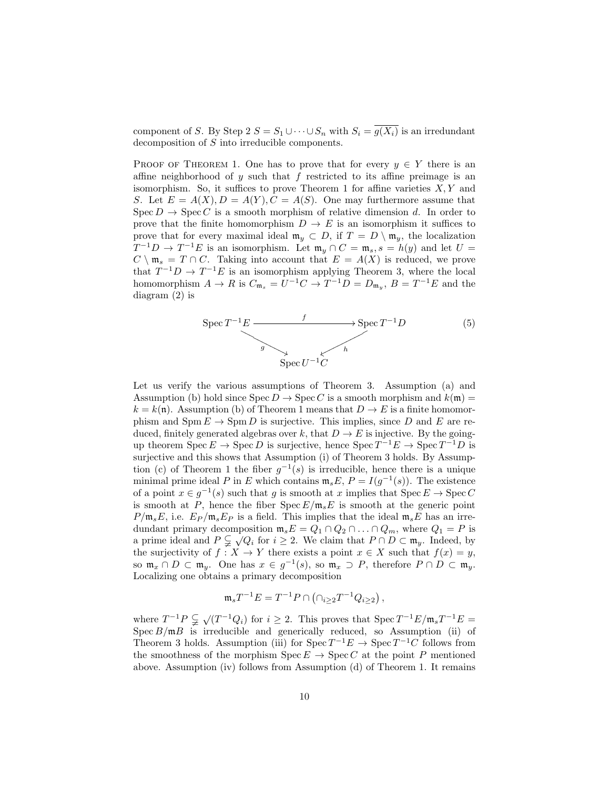component of *S*. By Step 2  $S = S_1 \cup \cdots \cup S_n$  with  $S_i = \overline{g(X_i)}$  is an irredundant decomposition of *S* into irreducible components.

PROOF OF THEOREM 1. One has to prove that for every  $y \in Y$  there is an affine neighborhood of *y* such that *f* restricted to its affine preimage is an isomorphism. So, it suffices to prove Theorem 1 for affine varieties *X, Y* and *S*. Let  $E = A(X), D = A(Y), C = A(S)$ . One may furthermore assume that  $Spec D \to Spec C$  is a smooth morphism of relative dimension *d*. In order to prove that the finite homomorphism  $D \to E$  is an isomorphism it suffices to prove that for every maximal ideal  $\mathfrak{m}_y \subset D$ , if  $T = D \setminus \mathfrak{m}_y$ , the localization  $T^{-1}D \rightarrow T^{-1}E$  is an isomorphism. Let  $\mathfrak{m}_y \cap C = \mathfrak{m}_s$ ,  $s = h(y)$  and let  $U =$  $C \setminus \mathfrak{m}_s = T \cap C$ . Taking into account that  $E = A(X)$  is reduced, we prove that  $T^{-1}D \to T^{-1}E$  is an isomorphism applying Theorem 3, where the local homomorphism  $A \to R$  is  $C_{\mathfrak{m}_s} = U^{-1}C \to T^{-1}D = D_{\mathfrak{m}_y}, B = T^{-1}E$  and the diagram (2) is



Let us verify the various assumptions of Theorem 3. Assumption (a) and Assumption (b) hold since  $Spec D \rightarrow Spec C$  is a smooth morphism and  $k(\mathfrak{m}) =$  $k = k(\mathfrak{n})$ . Assumption (b) of Theorem 1 means that  $D \to E$  is a finite homomorphism and  $\text{Spm } E \to \text{Spm } D$  is surjective. This implies, since *D* and *E* are reduced, finitely generated algebras over *k*, that  $D \to E$  is injective. By the goingup theorem  $\text{Spec } E \to \text{Spec } D$  is surjective, hence  $\text{Spec } T^{-1}E \to \text{Spec } T^{-1}D$  is surjective and this shows that Assumption (i) of Theorem 3 holds. By Assumption (c) of Theorem 1 the fiber  $g^{-1}(s)$  is irreducible, hence there is a unique minimal prime ideal *P* in *E* which contains  $\mathfrak{m}_s E$ ,  $P = I(g^{-1}(s))$ . The existence of a point  $x \in g^{-1}(s)$  such that *g* is smooth at *x* implies that  $\text{Spec } E \to \text{Spec } C$ is smooth at *P*, hence the fiber  $Spec E/\mathfrak{m}_s E$  is smooth at the generic point  $P/\mathfrak{m}_s E$ , i.e.  $E_P/\mathfrak{m}_s E_P$  is a field. This implies that the ideal  $\mathfrak{m}_s E$  has an irredundant primary decomposition  $\mathfrak{m}_s E = Q_1 \cap Q_2 \cap \ldots \cap Q_m$ , where  $Q_1 = P$  is a prime ideal and  $P \subsetneq \sqrt{Q_i}$  for  $i \geq 2$ . We claim that  $P \cap D \subset \mathfrak{m}_y$ . Indeed, by the surjectivity of  $f: X \to Y$  there exists a point  $x \in X$  such that  $f(x) = y$ , so  $\mathfrak{m}_x \cap D \subset \mathfrak{m}_y$ . One has  $x \in g^{-1}(s)$ , so  $\mathfrak{m}_x \supset P$ , therefore  $P \cap D \subset \mathfrak{m}_y$ . Localizing one obtains a primary decomposition

$$
\mathfrak{m}_s T^{-1} E = T^{-1} P \cap (\cap_{i \geq 2} T^{-1} Q_{i \geq 2}),
$$

where  $T^{-1}P \subsetneq \sqrt{(T^{-1}Q_i)}$  for  $i \geq 2$ . This proves that  $\text{Spec } T^{-1}E/\mathfrak{m}_sT^{-1}E =$ Spec  $B/\mathfrak{m}B$  is irreducible and generically reduced, so Assumption (ii) of Theorem 3 holds. Assumption (iii) for  $\text{Spec } T^{-1}E \to \text{Spec } T^{-1}C$  follows from the smoothness of the morphism  $\text{Spec } E \to \text{Spec } C$  at the point *P* mentioned above. Assumption (iv) follows from Assumption (d) of Theorem 1. It remains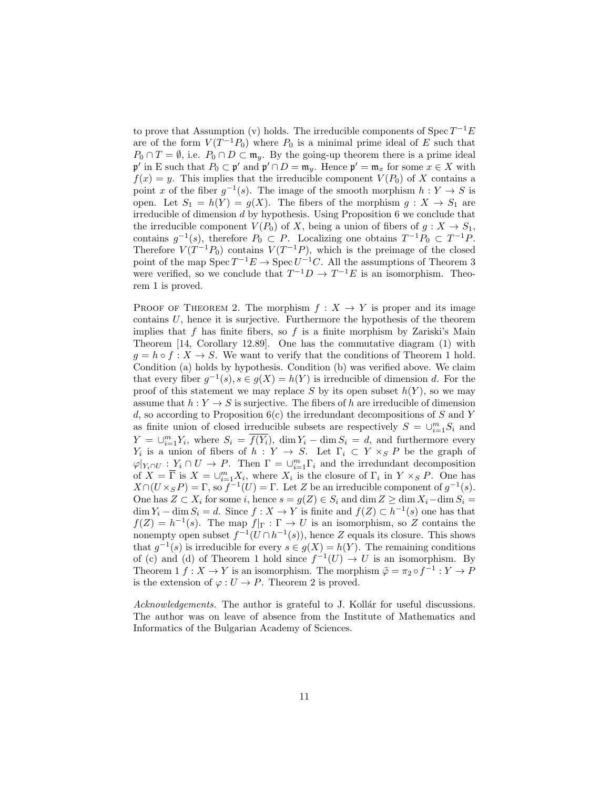to prove that Assumption (v) holds. The irreducible components of Spec *T <sup>−</sup>*1*E* are of the form  $V(T^{-1}P_0)$  where  $P_0$  is a minimal prime ideal of  $E$  such that  $P_0 \cap T = \emptyset$ , i.e.  $P_0 \cap D \subset \mathfrak{m}_y$ . By the going-up theorem there is a prime ideal  $\mathfrak{p}'$  in E such that  $P_0 \subset \mathfrak{p}'$  and  $\mathfrak{p}' \cap D = \mathfrak{m}_y$ . Hence  $\mathfrak{p}' = \mathfrak{m}_x$  for some  $x \in X$  with  $f(x) = y$ . This implies that the irreducible component  $V(P_0)$  of X contains a point *x* of the fiber  $g^{-1}(s)$ . The image of the smooth morphism  $h: Y \to S$  is open. Let  $S_1 = h(Y) = g(X)$ . The fibers of the morphism  $g: X \to S_1$  are irreducible of dimension *d* by hypothesis. Using Proposition 6 we conclude that the irreducible component  $V(P_0)$  of *X*, being a union of fibers of  $g: X \to S_1$ , contains  $g^{-1}(s)$ , therefore  $P_0 \subset P$ . Localizing one obtains  $T^{-1}P_0 \subset T^{-1}P$ . Therefore  $V(T^{-1}P_0)$  contains  $V(T^{-1}P)$ , which is the preimage of the closed point of the map  $Spec T^{-1}E \to Spec U^{-1}C$ . All the assumptions of Theorem 3 were verified, so we conclude that  $T^{-1}D \to T^{-1}E$  is an isomorphism. Theorem 1 is proved.

PROOF OF THEOREM 2. The morphism  $f: X \to Y$  is proper and its image contains *U*, hence it is surjective. Furthermore the hypothesis of the theorem implies that  $f$  has finite fibers, so  $f$  is a finite morphism by Zariski's Main Theorem [14, Corollary 12.89]. One has the commutative diagram (1) with  $g = h \circ f : X \to S$ . We want to verify that the conditions of Theorem 1 hold. Condition (a) holds by hypothesis. Condition (b) was verified above. We claim that every fiber  $g^{-1}(s)$ ,  $s \in g(X) = h(Y)$  is irreducible of dimension *d*. For the proof of this statement we may replace *S* by its open subset  $h(Y)$ , so we may assume that  $h: Y \to S$  is surjective. The fibers of h are irreducible of dimension *d*, so according to Proposition 6(c) the irredundant decompositions of *S* and *Y* as finite union of closed irreducible subsets are respectively  $S = \bigcup_{i=1}^{m} S_i$  and  $Y = \bigcup_{i=1}^{m} Y_i$ , where  $S_i = \overline{f(Y_i)}$ , dim  $Y_i - \dim S_i = d$ , and furthermore every *Y*<sub>i</sub> is a union of fibers of *h* : *Y*  $\rightarrow$  *S*. Let  $\Gamma_i \subset Y \times_S P$  be the graph of  $\varphi|_{Y_i \cap U} : Y_i \cap U \to P$ . Then  $\Gamma = \bigcup_{i=1}^m \Gamma_i$  and the irredundant decomposition of  $X = \overline{\Gamma}$  is  $X = \bigcup_{i=1}^{m} X_i$ , where  $X_i$  is the closure of  $\Gamma_i$  in  $Y \times_S P$ . One has  $X \cap (U \times_S P) = \Gamma$ , so  $f^{-1}(U) = \Gamma$ . Let *Z* be an irreducible component of  $g^{-1}(s)$ . One has  $Z \subset X_i$  for some *i*, hence  $s = g(Z) \in S_i$  and  $\dim Z \ge \dim X_i - \dim S_i =$ dim  $Y_i$  – dim  $S_i = d$ . Since  $f : X \to Y$  is finite and  $f(Z) \subset h^{-1}(s)$  one has that  $f(Z) = h^{-1}(s)$ . The map  $f|_{\Gamma} : \Gamma \to U$  is an isomorphism, so *Z* contains the nonempty open subset  $f^{-1}(U \cap h^{-1}(s))$ , hence *Z* equals its closure. This shows that  $g^{-1}(s)$  is irreducible for every  $s \in g(X) = h(Y)$ . The remaining conditions of (c) and (d) of Theorem 1 hold since  $f^{-1}(U) \to U$  is an isomorphism. By Theorem 1  $f: X \to Y$  is an isomorphism. The morphism  $\tilde{\varphi} = \pi_2 \circ f^{-1}: Y \to P$ is the extension of  $\varphi: U \to P$ . Theorem 2 is proved.

*Acknowledgements*. The author is grateful to J. Kollár for useful discussions. The author was on leave of absence from the Institute of Mathematics and Informatics of the Bulgarian Academy of Sciences.